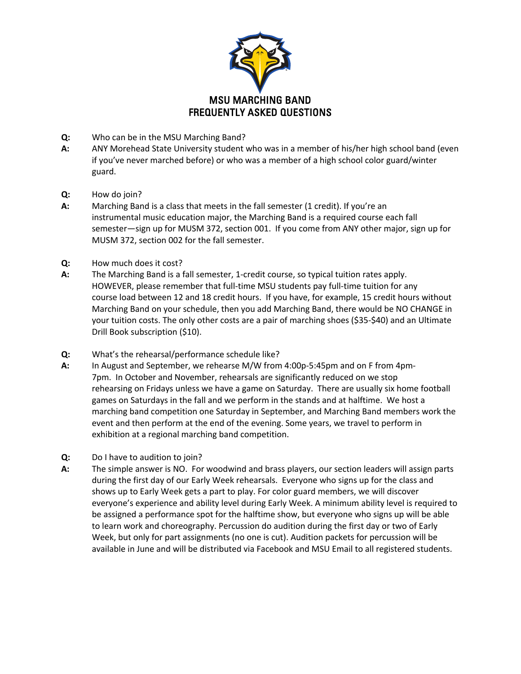

- **Q:** Who can be in the MSU Marching Band?
- **A:** ANY Morehead State University student who was in a member of his/her high school band (even if you've never marched before) or who was a member of a high school color guard/winter guard.
- **Q:** How do join?
- **A:** Marching Band is a class that meets in the fall semester (1 credit). If you're an instrumental music education major, the Marching Band is a required course each fall semester—sign up for MUSM 372, section 001. If you come from ANY other major, sign up for MUSM 372, section 002 for the fall semester.
- **Q:** How much does it cost?
- **A:** The Marching Band is a fall semester, 1-credit course, so typical tuition rates apply. HOWEVER, please remember that full-time MSU students pay full-time tuition for any course load between 12 and 18 credit hours. If you have, for example, 15 credit hours without Marching Band on your schedule, then you add Marching Band, there would be NO CHANGE in your tuition costs. The only other costs are a pair of marching shoes (\$35-\$40) and an Ultimate Drill Book subscription (\$10).
- **Q:** What's the rehearsal/performance schedule like?
- **A:** In August and September, we rehearse M/W from 4:00p-5:45pm and on F from 4pm-7pm. In October and November, rehearsals are significantly reduced on we stop rehearsing on Fridays unless we have a game on Saturday. There are usually six home football games on Saturdays in the fall and we perform in the stands and at halftime. We host a marching band competition one Saturday in September, and Marching Band members work the event and then perform at the end of the evening. Some years, we travel to perform in exhibition at a regional marching band competition.
- **Q:** Do I have to audition to join?
- **A:** The simple answer is NO. For woodwind and brass players, our section leaders will assign parts during the first day of our Early Week rehearsals. Everyone who signs up for the class and shows up to Early Week gets a part to play. For color guard members, we will discover everyone's experience and ability level during Early Week. A minimum ability level is required to be assigned a performance spot for the halftime show, but everyone who signs up will be able to learn work and choreography. Percussion do audition during the first day or two of Early Week, but only for part assignments (no one is cut). Audition packets for percussion will be available in June and will be distributed via Facebook and MSU Email to all registered students.